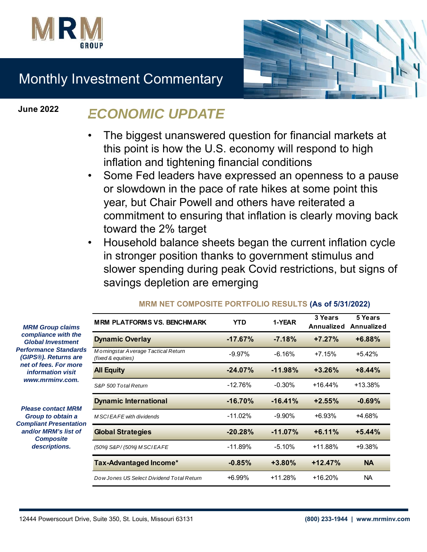



# Monthly Investment Commentary

**June 2022**

# *ECONOMIC UPDATE*

- The biggest unanswered question for financial markets at this point is how the U.S. economy will respond to high inflation and tightening financial conditions
- Some Fed leaders have expressed an openness to a pause or slowdown in the pace of rate hikes at some point this year, but Chair Powell and others have reiterated a commitment to ensuring that inflation is clearly moving back toward the 2% target
- Household balance sheets began the current inflation cycle in stronger position thanks to government stimulus and slower spending during peak Covid restrictions, but signs of savings depletion are emerging

| <b>MRM Group claims</b><br>compliance with the<br><b>Global Investment</b><br>erformance Standards<br><b>GIPS®). Returns are</b><br>net of fees. For more<br><i>information visit</i><br>www.mrminv.com. | <b>MRM PLATFORMS VS. BENCHMARK</b>                        | <b>YTD</b> | 1-YEAR     | 3 Years<br><b>Annualized</b> | 5 Years<br><b>Annualized</b> |
|----------------------------------------------------------------------------------------------------------------------------------------------------------------------------------------------------------|-----------------------------------------------------------|------------|------------|------------------------------|------------------------------|
|                                                                                                                                                                                                          | <b>Dynamic Overlay</b>                                    | $-17.67%$  | $-7.18%$   | $+7.27%$                     | +6.88%                       |
|                                                                                                                                                                                                          | Morningstar Average Tactical Return<br>(fixed & equities) | $-9.97\%$  | $-6.16%$   | $+7.15%$                     | $+5.42%$                     |
|                                                                                                                                                                                                          | <b>All Equity</b>                                         | $-24.07%$  | $-11.98%$  | $+3.26%$                     | $+8.44%$                     |
|                                                                                                                                                                                                          | S&P 500 Total Return                                      | $-12.76%$  | $-0.30%$   | +16.44%                      | $+13.38%$                    |
| <b>Please contact MRM</b><br>Group to obtain a<br><b>ompliant Presentation</b><br>and/or MRM's list of<br><b>Composite</b><br>descriptions.                                                              | <b>Dynamic International</b>                              | $-16.70%$  | $-16.41%$  | $+2.55%$                     | $-0.69%$                     |
|                                                                                                                                                                                                          | M SCI EAFE with dividends                                 | $-11.02%$  | $-9.90%$   | $+6.93%$                     | +4.68%                       |
|                                                                                                                                                                                                          | <b>Global Strategies</b>                                  | $-20.28%$  | $-11.07\%$ | $+6.11%$                     | $+5.44%$                     |
|                                                                                                                                                                                                          | (50%) S&P/(50%) M SCIEA FE                                | $-11.89%$  | $-5.10%$   | $+11.88%$                    | $+9.38%$                     |
|                                                                                                                                                                                                          | Tax-Advantaged Income*                                    | $-0.85%$   | $+3.80%$   | $+12.47%$                    | <b>NA</b>                    |
|                                                                                                                                                                                                          | Dow Jones US Select Dividend Total Return                 | +6.99%     | +11.28%    | $+16.20%$                    | <b>NA</b>                    |

### **MRM NET COMPOSITE PORTFOLIO RESULTS (As of 5/31/2022)**

*compliance with the Global Investment*  **Performance Standards** *(GIPS<sup>®</sup>). Returns are* **net of fees. For more** *information visit www.mrminv.com.*

**Please contact MRI** *Group to obtain a*  **Compliant Presentati** and/or MRM's list of *Composite descriptions.*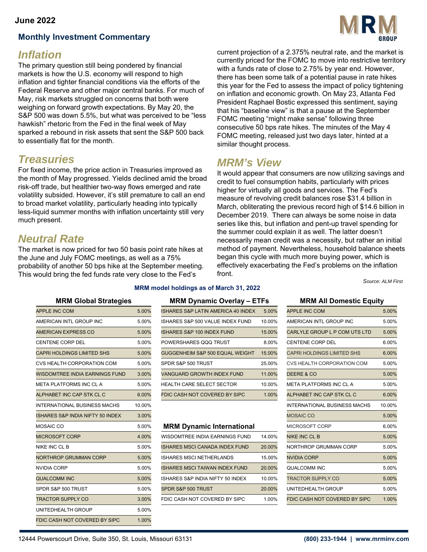### **June 2022**

### **Monthly Investment Commentary**

# *Inflation*

The primary question still being pondered by financial markets is how the U.S. economy will respond to high inflation and tighter financial conditions via the efforts of the Federal Reserve and other major central banks. For much of May, risk markets struggled on concerns that both were weighing on forward growth expectations. By May 20, the S&P 500 was down 5.5%, but what was perceived to be "less hawkish" rhetoric from the Fed in the final week of May sparked a rebound in risk assets that sent the S&P 500 back to essentially flat for the month.

# *Treasuries*

For fixed income, the price action in Treasuries improved as the month of May progressed. Yields declined amid the broad risk-off trade, but healthier two-way flows emerged and rate volatility subsided. However, it's still premature to call an end to broad market volatility, particularly heading into typically less-liquid summer months with inflation uncertainty still very much present.

# *Neutral Rate*

The market is now priced for two 50 basis point rate hikes at the June and July FOMC meetings, as well as a 75% probability of another 50 bps hike at the September meeting. This would bring the fed funds rate very close to the Fed's



current projection of a 2.375% neutral rate, and the market is currently priced for the FOMC to move into restrictive territory with a funds rate of close to 2.75% by year end. However, there has been some talk of a potential pause in rate hikes this year for the Fed to assess the impact of policy tightening on inflation and economic growth. On May 23, Atlanta Fed President Raphael Bostic expressed this sentiment, saying that his "baseline view" is that a pause at the September FOMC meeting "might make sense" following three consecutive 50 bps rate hikes. The minutes of the May 4 FOMC meeting, released just two days later, hinted at a similar thought process.

# *MRM's View*

It would appear that consumers are now utilizing savings and credit to fuel consumption habits, particularly with prices higher for virtually all goods and services. The Fed's measure of revolving credit balances rose \$31.4 billion in March, obliterating the previous record high of \$14.6 billion in December 2019. There can always be some noise in data series like this, but inflation and pent-up travel spending for the summer could explain it as well. The latter doesn't necessarily mean credit was a necessity, but rather an initial method of payment. Nevertheless, household balance sheets began this cycle with much more buying power, which is effectively exacerbating the Fed's problems on the inflation front.

*Source: ALM First*

| <b>APPLE INC COM</b>                        | 5.00%  | ISHARES S&P LATIN AMERICA 40 INDEX    | 5.00%  | <b>APPLE INC COM</b>                | 5.00%  |
|---------------------------------------------|--------|---------------------------------------|--------|-------------------------------------|--------|
| AMERICAN INTL GROUP INC                     | 5.00%  | ISHARES S&P 500 VALUE INDEX FUND      | 10.00% | AMERICAN INTL GROUP INC             | 5.00%  |
| AMERICAN EXPRESS CO                         | 5.00%  | <b>ISHARES S&amp;P 100 INDEX FUND</b> | 15.00% | CARLYLE GROUP L P COM UTS LTD       | 5.00%  |
| <b>CENTENE CORP DEL</b>                     | 5.00%  | POWERSHARES QQQ TRUST                 | 8.00%  | <b>CENTENE CORP DEL</b>             | 6.00%  |
| <b>CAPRI HOLDINGS LIMITED SHS</b>           | 5.00%  | GUGGENHEIM S&P 500 EQUAL WEIGHT       | 15.00% | <b>CAPRI HOLDINGS LIMITED SHS</b>   | 6.00%  |
| CVS HEALTH CORPORATION COM                  | 5.00%  | SPDR S&P 500 TRUST                    | 25.00% | CVS HEALTH CORPORATION COM          | 5.00%  |
| <b>WISDOMTREE INDIA EARNINGS FUND</b>       | 3.00%  | <b>VANGUARD GROWTH INDEX FUND</b>     | 11.00% | DEERE & CO                          | 5.00%  |
| META PLATFORMS INC CL A                     | 5.00%  | HEALTH CARE SELECT SECTOR             | 10.00% | META PLATFORMS INC CL A             | 5.00%  |
| ALPHABET INC CAP STK CL C                   | 6.00%  | FDIC CASH NOT COVERED BY SIPC         | 1.00%  | ALPHABET INC CAP STK CL C           | 6.00%  |
| <b>INTERNATIONAL BUSINESS MACHS</b>         | 10.00% |                                       |        | <b>INTERNATIONAL BUSINESS MACHS</b> | 10.00% |
| <b>ISHARES S&amp;P INDIA NIFTY 50 INDEX</b> | 3.00%  |                                       |        | <b>MOSAIC CO</b>                    | 5.00%  |
| MOSAIC CO                                   | 5.00%  | <b>MRM Dynamic International</b>      |        | MICROSOFT CORP                      | 6.00%  |
| <b>MICROSOFT CORP</b>                       | 4.00%  | WISDOMTREE INDIA EARNINGS FUND        | 14.00% | <b>NIKE INC CL B</b>                | 5.00%  |
| <b>NIKE INC CLB</b>                         | 5.00%  | <b>ISHARES MSCI CANADA INDEX FUND</b> | 20.00% | NORTHROP GRUMMAN CORP               | 5.00%  |
| <b>NORTHROP GRUMMAN CORP</b>                | 5.00%  | <b>ISHARES MSCI NETHERLANDS</b>       | 15.00% | <b>NVIDIA CORP</b>                  | 5.00%  |
| <b>NVIDIA CORP</b>                          | 5.00%  | <b>ISHARES MSCI TAIWAN INDEX FUND</b> | 20.00% | QUALCOMM INC                        | 5.00%  |
| <b>QUALCOMM INC</b>                         | 5.00%  | ISHARES S&P INDIA NIFTY 50 INDEX      | 10.00% | <b>TRACTOR SUPPLY CO</b>            | 5.00%  |
| SPDR S&P 500 TRUST                          | 5.00%  | SPDR S&P 500 TRUST                    | 20.00% | UNITEDHEALTH GROUP                  | 5.00%  |
| <b>TRACTOR SUPPLY CO</b>                    | 3.00%  | FDIC CASH NOT COVERED BY SIPC         | 1.00%  | FDIC CASH NOT COVERED BY SIPC       | 1.00%  |
| UNITEDHEALTH GROUP                          | 5.00%  |                                       |        |                                     |        |
| FDIC CASH NOT COVERED BY SIPC               | 1.00%  |                                       |        |                                     |        |
|                                             |        |                                       |        |                                     |        |

**MRM model holdings as of March 31, 2022**

| APPLE INC COM                  | 5.00% | ISHARES S&P LATIN AMERICA 40 INDEX    | 5.00%  | <b>APPLE INC COM</b>          | 5.00% |
|--------------------------------|-------|---------------------------------------|--------|-------------------------------|-------|
| AMERICAN INTL GROUP INC        | 5.00% | ISHARES S&P 500 VALUE INDEX FUND      | 10.00% | AMERICAN INTL GROUP INC       | 5.00% |
| AMERICAN EXPRESS CO            | 5.00% | <b>ISHARES S&amp;P 100 INDEX FUND</b> | 15.00% | CARLYLE GROUP L P COM UTS LTD | 5.00% |
| CENTENE CORP DEL               | 5.00% | POWERSHARES QQQ TRUST                 | 8.00%  | <b>CENTENE CORP DEL</b>       | 6.00% |
| CAPRI HOLDINGS LIMITED SHS     | 5.00% | GUGGENHEIM S&P 500 EQUAL WEIGHT       | 15.00% | CAPRI HOLDINGS LIMITED SHS    | 6.00% |
| CVS HEALTH CORPORATION COM     | 5.00% | SPDR S&P 500 TRUST                    | 25.00% | CVS HEALTH CORPORATION COM    | 5.00% |
| WISDOMTREE INDIA EARNINGS FUND | 3.00% | VANGUARD GROWTH INDEX FUND            | 11.00% | <b>DEERE &amp; CO</b>         | 5.00% |
| META PLATFORMS INC CL A        | 5.00% | <b>HEALTH CARE SELECT SECTOR</b>      | 10.00% | META PLATFORMS INC CL A       | 5.00% |
| ALPHABET INC CAP STK CL C      | 6.00% | FDIC CASH NOT COVERED BY SIPC         | 1.00%  | ALPHABET INC CAP STK CL C     | 6.00% |
|                                |       |                                       |        |                               |       |

### **MRM Dynamic International**

| MICROSOFT CORP        | 4.00% | WISDOMTREE INDIA EARNINGS FUND        | 14.00% | NIKE INC CL B                 | 5.00% |
|-----------------------|-------|---------------------------------------|--------|-------------------------------|-------|
| NIKE INC CL B         | 5.00% | <b>ISHARES MSCI CANADA INDEX FUND</b> | 20.00% | NORTHROP GRUMMAN CORP         | 5.00% |
| NORTHROP GRUMMAN CORP | 5.00% | ISHARES MSCI NETHERLANDS              | 15.00% | NVIDIA CORP                   | 5.00% |
| NVIDIA CORP           | 5.00% | <b>ISHARES MSCI TAIWAN INDEX FUND</b> | 20.00% | QUALCOMM INC                  | 5.00% |
| QUALCOMM INC          | 5.00% | ISHARES S&P INDIA NIFTY 50 INDEX      | 10.00% | <b>TRACTOR SUPPLY CO</b>      | 5.00% |
| SPDR S&P 500 TRUST    | 5.00% | SPDR S&P 500 TRUST                    | 20.00% | UNITEDHEALTH GROUP            | 5.00% |
| TRACTOR SUPPLY CO     | 3.00% | FDIC CASH NOT COVERED BY SIPC         | 1.00%  | FDIC CASH NOT COVERED BY SIPC | 1.00% |

### **MRM Global Strategies MRM Dynamic Overlay – ETFs MRM All Domestic Equity**

| <b>APPLE INC COM</b>              | 5.00%  |
|-----------------------------------|--------|
| AMERICAN INTL GROUP INC           | 5.00%  |
| CARLYLE GROUP L P COM UTS LTD     | 5.00%  |
| CENTENE CORP DEL                  | 6.00%  |
| <b>CAPRI HOLDINGS LIMITED SHS</b> | 6.00%  |
| CVS HEALTH CORPORATION COM        | 5.00%  |
| DEERE & CO                        | 5.00%  |
| META PLATFORMS INC CL A           | 5.00%  |
| ALPHABET INC CAP STK CL C         | 6.00%  |
| INTERNATIONAL BUSINESS MACHS      | 10.00% |
| <b>MOSAIC CO</b>                  | 5.00%  |
| MICROSOFT CORP                    | 6.00%  |
| NIKE INC CL B                     | 5.00%  |
| NORTHROP GRUMMAN CORP             | 5.00%  |
| NVIDIA CORP                       | 5.00%  |
| QUALCOMM INC                      | 5.00%  |
| <b>TRACTOR SUPPLY CO</b>          | 5.00%  |
| UNITEDHEALTH GROUP                | 5.00%  |
| FDIC CASH NOT COVERED BY SIPC     | 1.00%  |
|                                   |        |